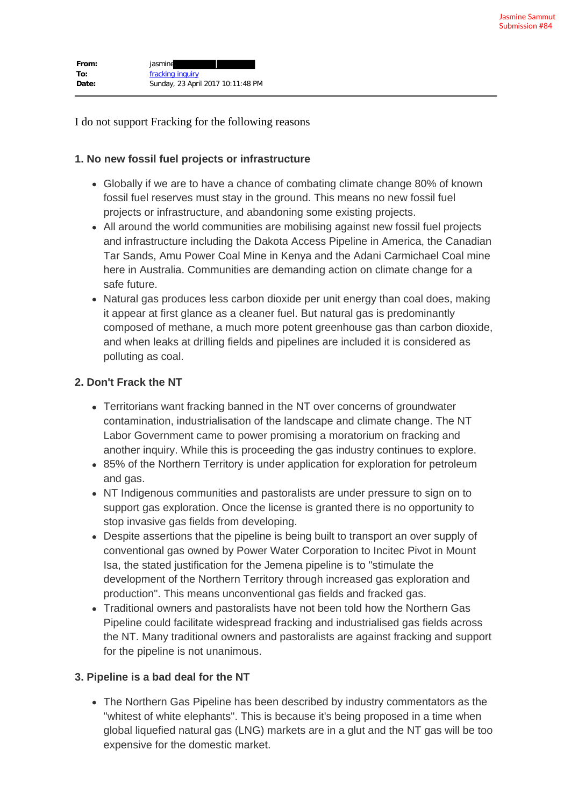| From: | jasmine                           |
|-------|-----------------------------------|
| To:   | fracking inquiry                  |
| Date: | Sunday, 23 April 2017 10:11:48 PM |

I do not support Fracking for the following reasons

## **1. No new fossil fuel projects or infrastructure**

- Globally if we are to have a chance of combating climate change 80% of known fossil fuel reserves must stay in the ground. This means no new fossil fuel projects or infrastructure, and abandoning some existing projects.
- All around the world communities are mobilising against new fossil fuel projects and infrastructure including the Dakota Access Pipeline in America, the Canadian Tar Sands, Amu Power Coal Mine in Kenya and the Adani Carmichael Coal mine here in Australia. Communities are demanding action on climate change for a safe future.
- Natural gas produces less carbon dioxide per unit energy than coal does, making it appear at first glance as a cleaner fuel. But natural gas is predominantly composed of methane, a much more potent greenhouse gas than carbon dioxide, and when leaks at drilling fields and pipelines are included it is considered as polluting as coal.

## **2. Don't Frack the NT**

- Territorians want fracking banned in the NT over concerns of groundwater contamination, industrialisation of the landscape and climate change. The NT Labor Government came to power promising a moratorium on fracking and another inquiry. While this is proceeding the gas industry continues to explore.
- 85% of the Northern Territory is under application for exploration for petroleum and gas.
- NT Indigenous communities and pastoralists are under pressure to sign on to support gas exploration. Once the license is granted there is no opportunity to stop invasive gas fields from developing.
- Despite assertions that the pipeline is being built to transport an over supply of conventional gas owned by Power Water Corporation to Incitec Pivot in Mount Isa, the stated justification for the Jemena pipeline is to "stimulate the development of the Northern Territory through increased gas exploration and production". This means unconventional gas fields and fracked gas.
- Traditional owners and pastoralists have not been told how the Northern Gas Pipeline could facilitate widespread fracking and industrialised gas fields across the NT. Many traditional owners and pastoralists are against fracking and support for the pipeline is not unanimous.

## **3. Pipeline is a bad deal for the NT**

• The Northern Gas Pipeline has been described by industry commentators as the "whitest of white elephants". This is because it's being proposed in a time when global liquefied natural gas (LNG) markets are in a glut and the NT gas will be too expensive for the domestic market.